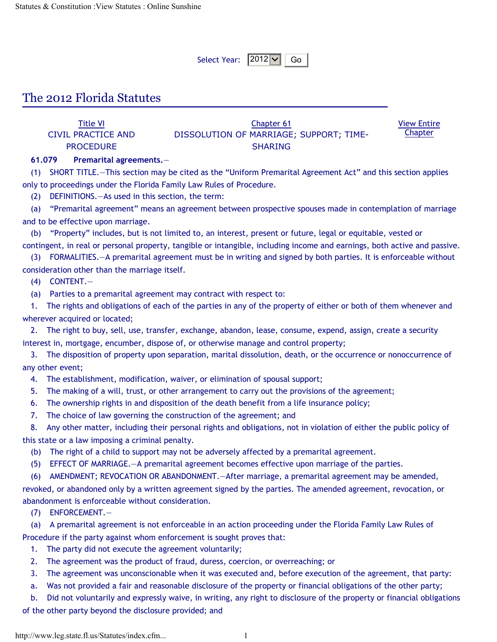Select Year:  $|2012 \blacktriangledown|$  Go

## The 2012 Florida Statutes

Title VI CIVIL PRACTICE AND **PROCEDURE** Chapter 61 DISSOLUTION OF MARRIAGE; SUPPORT; TIME-SHARING View Entire **Chapter** 

**61.079 Premarital agreements.**—

(1) SHORT TITLE.—This section may be cited as the "Uniform Premarital Agreement Act" and this section applies only to proceedings under the Florida Family Law Rules of Procedure.

(2) DEFINITIONS.—As used in this section, the term:

(a) "Premarital agreement" means an agreement between prospective spouses made in contemplation of marriage and to be effective upon marriage.

(b) "Property" includes, but is not limited to, an interest, present or future, legal or equitable, vested or contingent, in real or personal property, tangible or intangible, including income and earnings, both active and passive.

(3) FORMALITIES.—A premarital agreement must be in writing and signed by both parties. It is enforceable without consideration other than the marriage itself.

(4) CONTENT.—

(a) Parties to a premarital agreement may contract with respect to:

1. The rights and obligations of each of the parties in any of the property of either or both of them whenever and wherever acquired or located:

2. The right to buy, sell, use, transfer, exchange, abandon, lease, consume, expend, assign, create a security interest in, mortgage, encumber, dispose of, or otherwise manage and control property;

3. The disposition of property upon separation, marital dissolution, death, or the occurrence or nonoccurrence of any other event;

4. The establishment, modification, waiver, or elimination of spousal support;

5. The making of a will, trust, or other arrangement to carry out the provisions of the agreement;

6. The ownership rights in and disposition of the death benefit from a life insurance policy;

7. The choice of law governing the construction of the agreement; and

8. Any other matter, including their personal rights and obligations, not in violation of either the public policy of this state or a law imposing a criminal penalty.

(b) The right of a child to support may not be adversely affected by a premarital agreement.

(5) EFFECT OF MARRIAGE.—A premarital agreement becomes effective upon marriage of the parties.

(6) AMENDMENT; REVOCATION OR ABANDONMENT.—After marriage, a premarital agreement may be amended,

revoked, or abandoned only by a written agreement signed by the parties. The amended agreement, revocation, or abandonment is enforceable without consideration.

(7) ENFORCEMENT.—

(a) A premarital agreement is not enforceable in an action proceeding under the Florida Family Law Rules of Procedure if the party against whom enforcement is sought proves that:

1. The party did not execute the agreement voluntarily;

2. The agreement was the product of fraud, duress, coercion, or overreaching; or

3. The agreement was unconscionable when it was executed and, before execution of the agreement, that party:

a. Was not provided a fair and reasonable disclosure of the property or financial obligations of the other party;

b. Did not voluntarily and expressly waive, in writing, any right to disclosure of the property or financial obligations

of the other party beyond the disclosure provided; and